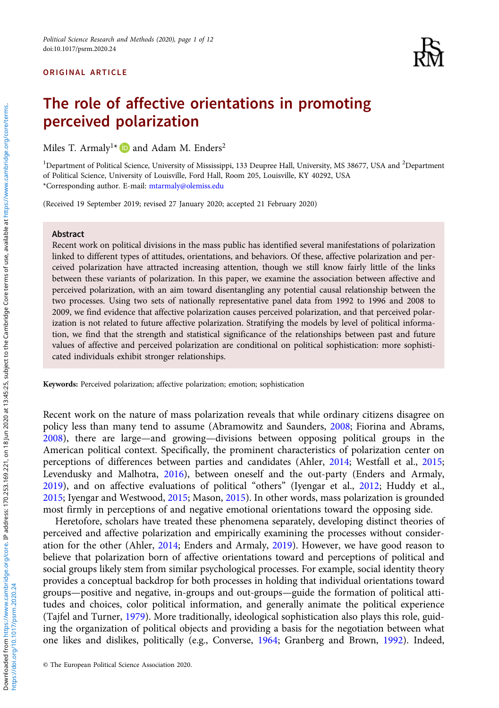### ORIGINAL ARTICLE



# The role of affective orientations in promoting perceived polarization

Miles T. Armaly<sup>1\*</sup>  $\blacksquare$  and Adam M. Enders<sup>2</sup>

<sup>1</sup>Department of Political Science, University of Mississippi, 133 Deupree Hall, University, MS 38677, USA and <sup>2</sup>Department of Political Science, University of Louisville, Ford Hall, Room 205, Louisville, KY 40292, USA \*Corresponding author. E-mail: [mtarmaly@olemiss.edu](mailto:mtarmaly@olemiss.edu)

(Received 19 September 2019; revised 27 January 2020; accepted 21 February 2020)

#### Abstract

Recent work on political divisions in the mass public has identified several manifestations of polarization linked to different types of attitudes, orientations, and behaviors. Of these, affective polarization and perceived polarization have attracted increasing attention, though we still know fairly little of the links between these variants of polarization. In this paper, we examine the association between affective and perceived polarization, with an aim toward disentangling any potential causal relationship between the two processes. Using two sets of nationally representative panel data from 1992 to 1996 and 2008 to 2009, we find evidence that affective polarization causes perceived polarization, and that perceived polarization is not related to future affective polarization. Stratifying the models by level of political information, we find that the strength and statistical significance of the relationships between past and future values of affective and perceived polarization are conditional on political sophistication: more sophisticated individuals exhibit stronger relationships.

Keywords: Perceived polarization; affective polarization; emotion; sophistication

Recent work on the nature of mass polarization reveals that while ordinary citizens disagree on policy less than many tend to assume (Abramowitz and Saunders, [2008](#page-10-0); Fiorina and Abrams, [2008](#page-10-0)), there are large—and growing—divisions between opposing political groups in the American political context. Specifically, the prominent characteristics of polarization center on perceptions of differences between parties and candidates (Ahler, [2014](#page-10-0); Westfall et al., [2015](#page-11-0); Levendusky and Malhotra, [2016\)](#page-10-0), between oneself and the out-party (Enders and Armaly, [2019](#page-10-0)), and on affective evaluations of political "others" (Iyengar et al., [2012;](#page-10-0) Huddy et al., [2015](#page-10-0); Iyengar and Westwood, [2015;](#page-10-0) Mason, [2015\)](#page-10-0). In other words, mass polarization is grounded most firmly in perceptions of and negative emotional orientations toward the opposing side.

Heretofore, scholars have treated these phenomena separately, developing distinct theories of perceived and affective polarization and empirically examining the processes without consideration for the other (Ahler, [2014](#page-10-0); Enders and Armaly, [2019\)](#page-10-0). However, we have good reason to believe that polarization born of affective orientations toward and perceptions of political and social groups likely stem from similar psychological processes. For example, social identity theory provides a conceptual backdrop for both processes in holding that individual orientations toward groups—positive and negative, in-groups and out-groups—guide the formation of political attitudes and choices, color political information, and generally animate the political experience (Tajfel and Turner, [1979](#page-11-0)). More traditionally, ideological sophistication also plays this role, guiding the organization of political objects and providing a basis for the negotiation between what one likes and dislikes, politically (e.g., Converse, [1964;](#page-10-0) Granberg and Brown, [1992](#page-10-0)). Indeed,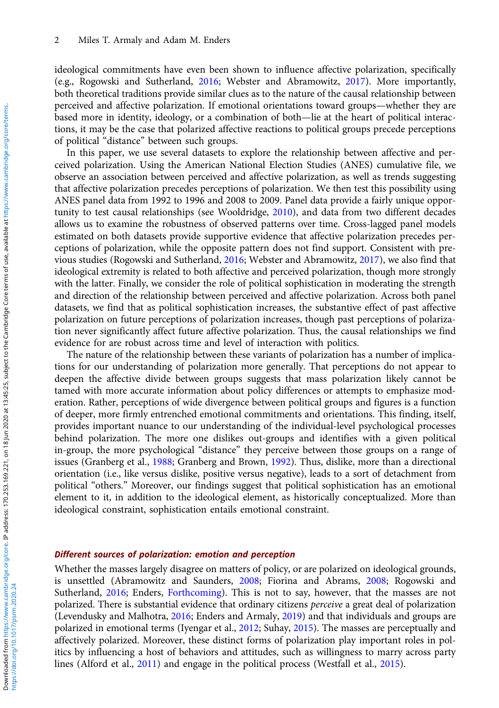ideological commitments have even been shown to influence affective polarization, specifically (e.g., Rogowski and Sutherland, [2016](#page-11-0); Webster and Abramowitz, [2017](#page-11-0)). More importantly, both theoretical traditions provide similar clues as to the nature of the causal relationship between perceived and affective polarization. If emotional orientations toward groups—whether they are based more in identity, ideology, or a combination of both—lie at the heart of political interactions, it may be the case that polarized affective reactions to political groups precede perceptions of political "distance" between such groups.

In this paper, we use several datasets to explore the relationship between affective and perceived polarization. Using the American National Election Studies (ANES) cumulative file, we observe an association between perceived and affective polarization, as well as trends suggesting that affective polarization precedes perceptions of polarization. We then test this possibility using ANES panel data from 1992 to 1996 and 2008 to 2009. Panel data provide a fairly unique opportunity to test causal relationships (see Wooldridge, [2010](#page-11-0)), and data from two different decades allows us to examine the robustness of observed patterns over time. Cross-lagged panel models estimated on both datasets provide supportive evidence that affective polarization precedes perceptions of polarization, while the opposite pattern does not find support. Consistent with previous studies (Rogowski and Sutherland, [2016](#page-11-0); Webster and Abramowitz, [2017](#page-11-0)), we also find that ideological extremity is related to both affective and perceived polarization, though more strongly with the latter. Finally, we consider the role of political sophistication in moderating the strength and direction of the relationship between perceived and affective polarization. Across both panel datasets, we find that as political sophistication increases, the substantive effect of past affective polarization on future perceptions of polarization increases, though past perceptions of polarization never significantly affect future affective polarization. Thus, the causal relationships we find evidence for are robust across time and level of interaction with politics.

The nature of the relationship between these variants of polarization has a number of implications for our understanding of polarization more generally. That perceptions do not appear to deepen the affective divide between groups suggests that mass polarization likely cannot be tamed with more accurate information about policy differences or attempts to emphasize moderation. Rather, perceptions of wide divergence between political groups and figures is a function of deeper, more firmly entrenched emotional commitments and orientations. This finding, itself, provides important nuance to our understanding of the individual-level psychological processes behind polarization. The more one dislikes out-groups and identifies with a given political in-group, the more psychological "distance" they perceive between those groups on a range of issues (Granberg et al., [1988](#page-10-0); Granberg and Brown, [1992](#page-10-0)). Thus, dislike, more than a directional orientation (i.e., like versus dislike, positive versus negative), leads to a sort of detachment from political "others." Moreover, our findings suggest that political sophistication has an emotional element to it, in addition to the ideological element, as historically conceptualized. More than ideological constraint, sophistication entails emotional constraint.

#### Different sources of polarization: emotion and perception

Whether the masses largely disagree on matters of policy, or are polarized on ideological grounds, is unsettled (Abramowitz and Saunders, [2008](#page-10-0); Fiorina and Abrams, [2008;](#page-10-0) Rogowski and Sutherland, [2016;](#page-11-0) Enders, [Forthcoming\)](#page-10-0). This is not to say, however, that the masses are not polarized. There is substantial evidence that ordinary citizens perceive a great deal of polarization (Levendusky and Malhotra, [2016;](#page-10-0) Enders and Armaly, [2019\)](#page-10-0) and that individuals and groups are polarized in emotional terms (Iyengar et al., [2012;](#page-10-0) Suhay, [2015\)](#page-11-0). The masses are perceptually and affectively polarized. Moreover, these distinct forms of polarization play important roles in politics by influencing a host of behaviors and attitudes, such as willingness to marry across party lines (Alford et al., [2011](#page-10-0)) and engage in the political process (Westfall et al., [2015](#page-11-0)).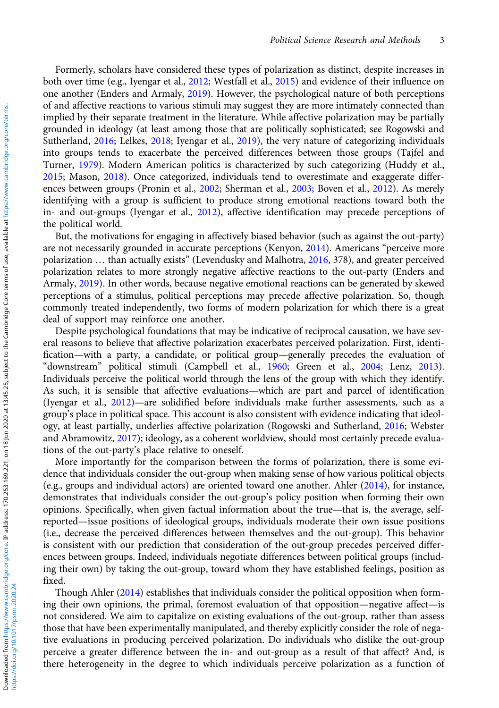https://doi.org/10.1017/psrm.2020.24

Formerly, scholars have considered these types of polarization as distinct, despite increases in both over time (e.g., Iyengar et al., [2012](#page-10-0); Westfall et al., [2015\)](#page-11-0) and evidence of their influence on one another (Enders and Armaly, [2019](#page-10-0)). However, the psychological nature of both perceptions of and affective reactions to various stimuli may suggest they are more intimately connected than implied by their separate treatment in the literature. While affective polarization may be partially grounded in ideology (at least among those that are politically sophisticated; see Rogowski and Sutherland, [2016;](#page-11-0) Lelkes, [2018;](#page-10-0) Iyengar et al., [2019\)](#page-10-0), the very nature of categorizing individuals into groups tends to exacerbate the perceived differences between those groups (Tajfel and Turner, [1979](#page-11-0)). Modern American politics is characterized by such categorizing (Huddy et al., [2015](#page-10-0); Mason, [2018](#page-11-0)). Once categorized, individuals tend to overestimate and exaggerate differences between groups (Pronin et al., [2002;](#page-11-0) Sherman et al., [2003](#page-11-0); Boven et al., [2012](#page-10-0)). As merely identifying with a group is sufficient to produce strong emotional reactions toward both the in- and out-groups (Iyengar et al., [2012\)](#page-10-0), affective identification may precede perceptions of the political world.

But, the motivations for engaging in affectively biased behavior (such as against the out-party) are not necessarily grounded in accurate perceptions (Kenyon, [2014](#page-10-0)). Americans "perceive more polarization … than actually exists" (Levendusky and Malhotra, [2016](#page-10-0), 378), and greater perceived polarization relates to more strongly negative affective reactions to the out-party (Enders and Armaly, [2019\)](#page-10-0). In other words, because negative emotional reactions can be generated by skewed perceptions of a stimulus, political perceptions may precede affective polarization. So, though commonly treated independently, two forms of modern polarization for which there is a great deal of support may reinforce one another.

Despite psychological foundations that may be indicative of reciprocal causation, we have several reasons to believe that affective polarization exacerbates perceived polarization. First, identification—with a party, a candidate, or political group—generally precedes the evaluation of "downstream" political stimuli (Campbell et al., [1960;](#page-10-0) Green et al., [2004](#page-10-0); Lenz, [2013\)](#page-10-0). Individuals perceive the political world through the lens of the group with which they identify. As such, it is sensible that affective evaluations—which are part and parcel of identification (Iyengar et al., [2012\)](#page-10-0)—are solidified before individuals make further assessments, such as a group's place in political space. This account is also consistent with evidence indicating that ideology, at least partially, underlies affective polarization (Rogowski and Sutherland, [2016;](#page-11-0) Webster and Abramowitz, [2017](#page-11-0)); ideology, as a coherent worldview, should most certainly precede evaluations of the out-party's place relative to oneself.

More importantly for the comparison between the forms of polarization, there is some evidence that individuals consider the out-group when making sense of how various political objects (e.g., groups and individual actors) are oriented toward one another. Ahler ([2014\)](#page-10-0), for instance, demonstrates that individuals consider the out-group's policy position when forming their own opinions. Specifically, when given factual information about the true—that is, the average, selfreported—issue positions of ideological groups, individuals moderate their own issue positions (i.e., decrease the perceived differences between themselves and the out-group). This behavior is consistent with our prediction that consideration of the out-group precedes perceived differences between groups. Indeed, individuals negotiate differences between political groups (including their own) by taking the out-group, toward whom they have established feelings, position as fixed.

Though Ahler ([2014](#page-10-0)) establishes that individuals consider the political opposition when forming their own opinions, the primal, foremost evaluation of that opposition—negative affect—is not considered. We aim to capitalize on existing evaluations of the out-group, rather than assess those that have been experimentally manipulated, and thereby explicitly consider the role of negative evaluations in producing perceived polarization. Do individuals who dislike the out-group perceive a greater difference between the in- and out-group as a result of that affect? And, is there heterogeneity in the degree to which individuals perceive polarization as a function of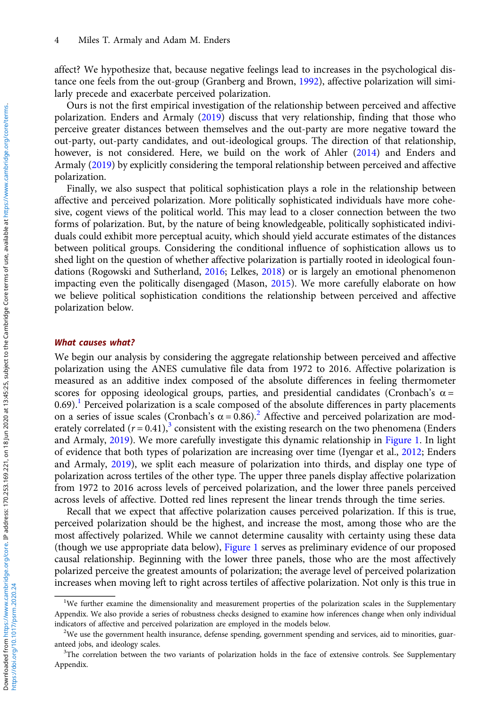affect? We hypothesize that, because negative feelings lead to increases in the psychological distance one feels from the out-group (Granberg and Brown, [1992](#page-10-0)), affective polarization will similarly precede and exacerbate perceived polarization.

Ours is not the first empirical investigation of the relationship between perceived and affective polarization. Enders and Armaly [\(2019\)](#page-10-0) discuss that very relationship, finding that those who perceive greater distances between themselves and the out-party are more negative toward the out-party, out-party candidates, and out-ideological groups. The direction of that relationship, however, is not considered. Here, we build on the work of Ahler ([2014](#page-10-0)) and Enders and Armaly ([2019](#page-10-0)) by explicitly considering the temporal relationship between perceived and affective polarization.

Finally, we also suspect that political sophistication plays a role in the relationship between affective and perceived polarization. More politically sophisticated individuals have more cohesive, cogent views of the political world. This may lead to a closer connection between the two forms of polarization. But, by the nature of being knowledgeable, politically sophisticated individuals could exhibit more perceptual acuity, which should yield accurate estimates of the distances between political groups. Considering the conditional influence of sophistication allows us to shed light on the question of whether affective polarization is partially rooted in ideological foundations (Rogowski and Sutherland, [2016](#page-11-0); Lelkes, [2018](#page-10-0)) or is largely an emotional phenomenon impacting even the politically disengaged (Mason, [2015\)](#page-10-0). We more carefully elaborate on how we believe political sophistication conditions the relationship between perceived and affective polarization below.

#### What causes what?

We begin our analysis by considering the aggregate relationship between perceived and affective polarization using the ANES cumulative file data from 1972 to 2016. Affective polarization is measured as an additive index composed of the absolute differences in feeling thermometer scores for opposing ideological groups, parties, and presidential candidates (Cronbach's  $\alpha$  =  $0.69$ .<sup>1</sup> Perceived polarization is a scale composed of the absolute differences in party placements on a series of issue scales (Cronbach's  $\alpha$  = 0.86).<sup>2</sup> Affective and perceived polarization are moderately correlated  $(r = 0.41)$ ,<sup>3</sup> consistent with the existing research on the two phenomena (Enders and Armaly, [2019](#page-10-0)). We more carefully investigate this dynamic relationship in [Figure 1.](#page-4-0) In light of evidence that both types of polarization are increasing over time (Iyengar et al., [2012;](#page-10-0) Enders and Armaly, [2019\)](#page-10-0), we split each measure of polarization into thirds, and display one type of polarization across tertiles of the other type. The upper three panels display affective polarization from 1972 to 2016 across levels of perceived polarization, and the lower three panels perceived across levels of affective. Dotted red lines represent the linear trends through the time series.

Recall that we expect that affective polarization causes perceived polarization. If this is true, perceived polarization should be the highest, and increase the most, among those who are the most affectively polarized. While we cannot determine causality with certainty using these data (though we use appropriate data below), [Figure 1](#page-4-0) serves as preliminary evidence of our proposed causal relationship. Beginning with the lower three panels, those who are the most affectively polarized perceive the greatest amounts of polarization; the average level of perceived polarization increases when moving left to right across tertiles of affective polarization. Not only is this true in

<sup>&</sup>lt;sup>1</sup>We further examine the dimensionality and measurement properties of the polarization scales in the Supplementary Appendix. We also provide a series of robustness checks designed to examine how inferences change when only individual indicators of affective and perceived polarization are employed in the models below. <sup>2</sup>

<sup>&</sup>lt;sup>2</sup>We use the government health insurance, defense spending, government spending and services, aid to minorities, guaranteed jobs, and ideology scales.

<sup>&</sup>lt;sup>3</sup>The correlation between the two variants of polarization holds in the face of extensive controls. See Supplementary Appendix.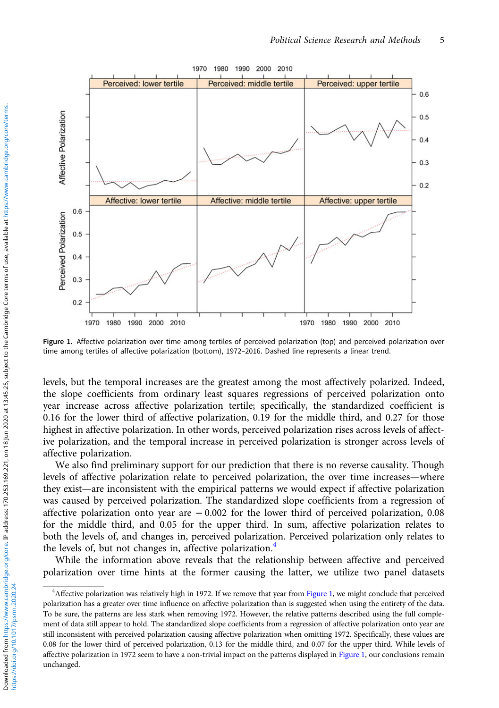<span id="page-4-0"></span>

Figure 1. Affective polarization over time among tertiles of perceived polarization (top) and perceived polarization over time among tertiles of affective polarization (bottom), 1972–2016. Dashed line represents a linear trend.

levels, but the temporal increases are the greatest among the most affectively polarized. Indeed, the slope coefficients from ordinary least squares regressions of perceived polarization onto year increase across affective polarization tertile; specifically, the standardized coefficient is 0.16 for the lower third of affective polarization, 0.19 for the middle third, and 0.27 for those highest in affective polarization. In other words, perceived polarization rises across levels of affective polarization, and the temporal increase in perceived polarization is stronger across levels of affective polarization.

We also find preliminary support for our prediction that there is no reverse causality. Though levels of affective polarization relate to perceived polarization, the over time increases—where they exist—are inconsistent with the empirical patterns we would expect if affective polarization was caused by perceived polarization. The standardized slope coefficients from a regression of affective polarization onto year are − 0.002 for the lower third of perceived polarization, 0.08 for the middle third, and 0.05 for the upper third. In sum, affective polarization relates to both the levels of, and changes in, perceived polarization. Perceived polarization only relates to the levels of, but not changes in, affective polarization.<sup>4</sup>

While the information above reveals that the relationship between affective and perceived polarization over time hints at the former causing the latter, we utilize two panel datasets

<sup>4</sup> Affective polarization was relatively high in 1972. If we remove that year from Figure 1, we might conclude that perceived polarization has a greater over time influence on affective polarization than is suggested when using the entirety of the data. To be sure, the patterns are less stark when removing 1972. However, the relative patterns described using the full complement of data still appear to hold. The standardized slope coefficients from a regression of affective polarization onto year are still inconsistent with perceived polarization causing affective polarization when omitting 1972. Specifically, these values are 0.08 for the lower third of perceived polarization, 0.13 for the middle third, and 0.07 for the upper third. While levels of affective polarization in 1972 seem to have a non-trivial impact on the patterns displayed in Figure 1, our conclusions remain unchanged.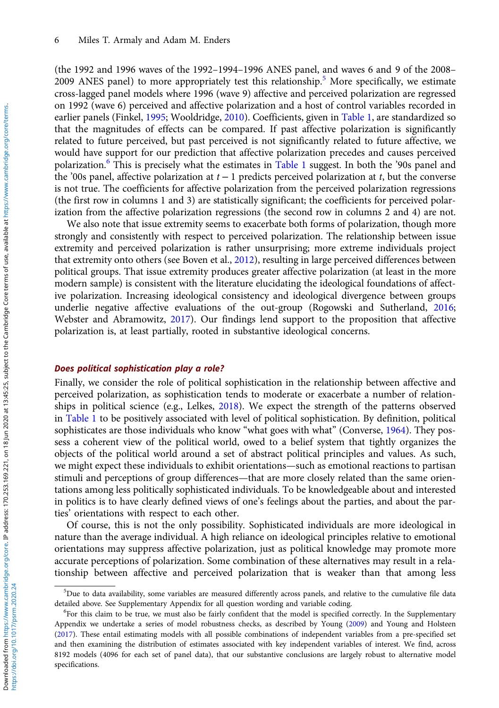(the 1992 and 1996 waves of the 1992–1994–1996 ANES panel, and waves 6 and 9 of the 2008– 2009 ANES panel) to more appropriately test this relationship.<sup>5</sup> More specifically, we estimate cross-lagged panel models where 1996 (wave 9) affective and perceived polarization are regressed on 1992 (wave 6) perceived and affective polarization and a host of control variables recorded in earlier panels (Finkel, [1995;](#page-10-0) Wooldridge, [2010](#page-11-0)). Coefficients, given in [Table 1,](#page-6-0) are standardized so that the magnitudes of effects can be compared. If past affective polarization is significantly related to future perceived, but past perceived is not significantly related to future affective, we would have support for our prediction that affective polarization precedes and causes perceived polarization.<sup>6</sup> This is precisely what the estimates in [Table 1](#page-6-0) suggest. In both the '90s panel and the '00s panel, affective polarization at  $t - 1$  predicts perceived polarization at t, but the converse is not true. The coefficients for affective polarization from the perceived polarization regressions (the first row in columns 1 and 3) are statistically significant; the coefficients for perceived polarization from the affective polarization regressions (the second row in columns 2 and 4) are not.

We also note that issue extremity seems to exacerbate both forms of polarization, though more strongly and consistently with respect to perceived polarization. The relationship between issue extremity and perceived polarization is rather unsurprising; more extreme individuals project that extremity onto others (see Boven et al., [2012](#page-10-0)), resulting in large perceived differences between political groups. That issue extremity produces greater affective polarization (at least in the more modern sample) is consistent with the literature elucidating the ideological foundations of affective polarization. Increasing ideological consistency and ideological divergence between groups underlie negative affective evaluations of the out-group (Rogowski and Sutherland, [2016](#page-11-0); Webster and Abramowitz, [2017](#page-11-0)). Our findings lend support to the proposition that affective polarization is, at least partially, rooted in substantive ideological concerns.

#### Does political sophistication play a role?

Finally, we consider the role of political sophistication in the relationship between affective and perceived polarization, as sophistication tends to moderate or exacerbate a number of relationships in political science (e.g., Lelkes, [2018\)](#page-10-0). We expect the strength of the patterns observed in [Table 1](#page-6-0) to be positively associated with level of political sophistication. By definition, political sophisticates are those individuals who know "what goes with what" (Converse, [1964](#page-10-0)). They possess a coherent view of the political world, owed to a belief system that tightly organizes the objects of the political world around a set of abstract political principles and values. As such, we might expect these individuals to exhibit orientations—such as emotional reactions to partisan stimuli and perceptions of group differences—that are more closely related than the same orientations among less politically sophisticated individuals. To be knowledgeable about and interested in politics is to have clearly defined views of one's feelings about the parties, and about the parties' orientations with respect to each other.

Of course, this is not the only possibility. Sophisticated individuals are more ideological in nature than the average individual. A high reliance on ideological principles relative to emotional orientations may suppress affective polarization, just as political knowledge may promote more accurate perceptions of polarization. Some combination of these alternatives may result in a relationship between affective and perceived polarization that is weaker than that among less

<sup>5</sup> Due to data availability, some variables are measured differently across panels, and relative to the cumulative file data detailed above. See Supplementary Appendix for all question wording and variable coding. <sup>6</sup>

 ${}^6$ For this claim to be true, we must also be fairly confident that the model is specified correctly. In the Supplementary Appendix we undertake a series of model robustness checks, as described by Young ([2009](#page-11-0)) and Young and Holsteen ([2017\)](#page-11-0). These entail estimating models with all possible combinations of independent variables from a pre-specified set and then examining the distribution of estimates associated with key independent variables of interest. We find, across 8192 models (4096 for each set of panel data), that our substantive conclusions are largely robust to alternative model specifications.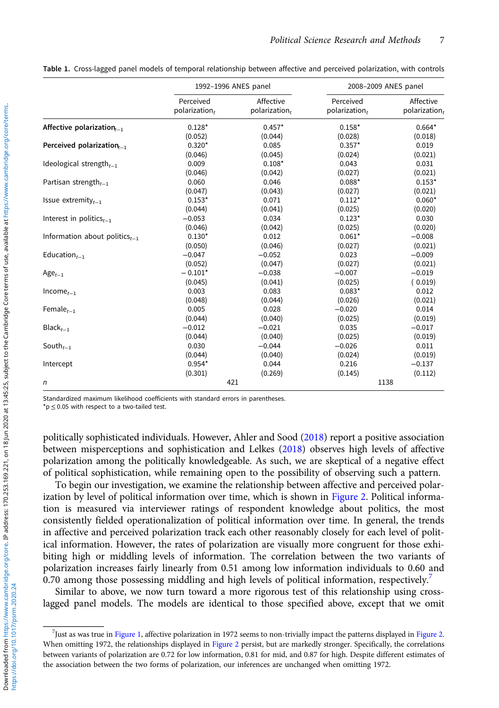<span id="page-6-0"></span>Table 1. Cross-lagged panel models of temporal relationship between affective and perceived polarization, with controls

|                                               |                            | 1992-1996 ANES panel       | 2008-2009 ANES panel       |                            |  |
|-----------------------------------------------|----------------------------|----------------------------|----------------------------|----------------------------|--|
|                                               | Perceived<br>polarization, | Affective<br>polarization, | Perceived<br>polarization, | Affective<br>polarization, |  |
| Affective polarization $_{t-1}$               | $0.128*$                   | $0.457*$                   | $0.158*$                   | $0.664*$                   |  |
|                                               | (0.052)                    | (0.044)                    | (0.028)                    | (0.018)                    |  |
| Perceived polarization $_{t-1}$               | $0.320*$                   | 0.085                      | $0.357*$                   | 0.019                      |  |
|                                               | (0.046)                    | (0.045)                    | (0.024)                    | (0.021)                    |  |
| Ideological strength $_{t-1}$                 | 0.009                      | $0.108*$                   | 0.043                      | 0.031                      |  |
|                                               | (0.046)                    | (0.042)                    | (0.027)                    | (0.021)                    |  |
| Partisan strength <sub><math>t-1</math></sub> | 0.060                      | 0.046                      | $0.088*$                   | $0.153*$                   |  |
|                                               | (0.047)                    | (0.043)                    | (0.027)                    | (0.021)                    |  |
| Issue extremity $t_{-1}$                      | $0.153*$                   | 0.071                      | $0.112*$                   | $0.060*$                   |  |
|                                               | (0.044)                    | (0.041)                    | (0.025)                    | (0.020)                    |  |
| Interest in politics $_{t-1}$                 | $-0.053$                   | 0.034                      | $0.123*$                   | 0.030                      |  |
|                                               | (0.046)                    | (0.042)                    | (0.025)                    | (0.020)                    |  |
| Information about politics $_{t-1}$           | $0.130*$                   | 0.012                      | $0.061*$                   | $-0.008$                   |  |
|                                               | (0.050)                    | (0.046)                    | (0.027)                    | (0.021)                    |  |
| Education $_{t-1}$                            | $-0.047$                   | $-0.052$                   | 0.023                      | $-0.009$                   |  |
|                                               | (0.052)                    | (0.047)                    | (0.027)                    | (0.021)                    |  |
| $Age_{t-1}$                                   | $-0.101*$                  | $-0.038$                   | $-0.007$                   | $-0.019$                   |  |
|                                               | (0.045)                    | (0.041)                    | (0.025)                    | (0.019)                    |  |
| $Incomet-1$                                   | 0.003                      | 0.083                      | $0.083*$                   | 0.012                      |  |
|                                               | (0.048)                    | (0.044)                    | (0.026)                    | (0.021)                    |  |
| Female $_{t=1}$                               | 0.005                      | 0.028                      | $-0.020$                   | 0.014                      |  |
|                                               | (0.044)                    | (0.040)                    | (0.025)                    | (0.019)                    |  |
| $Blackt-1$                                    | $-0.012$                   | $-0.021$                   | 0.035                      | $-0.017$                   |  |
|                                               | (0.044)                    | (0.040)                    | (0.025)                    | (0.019)                    |  |
| South $_{t-1}$                                | 0.030                      | $-0.044$                   | $-0.026$                   | 0.011                      |  |
|                                               | (0.044)                    | (0.040)                    | (0.024)                    | (0.019)                    |  |
| Intercept                                     | $0.954*$                   | 0.044                      | 0.216                      | $-0.137$                   |  |
|                                               | (0.301)                    | (0.269)                    | (0.145)                    | (0.112)                    |  |
| n                                             |                            | 421                        |                            | 1138                       |  |

Standardized maximum likelihood coefficients with standard errors in parentheses.

 $*$ p  $\leq$  0.05 with respect to a two-tailed test.

politically sophisticated individuals. However, Ahler and Sood ([2018](#page-10-0)) report a positive association between misperceptions and sophistication and Lelkes [\(2018\)](#page-10-0) observes high levels of affective polarization among the politically knowledgeable. As such, we are skeptical of a negative effect of political sophistication, while remaining open to the possibility of observing such a pattern.

To begin our investigation, we examine the relationship between affective and perceived polarization by level of political information over time, which is shown in [Figure 2.](#page-7-0) Political information is measured via interviewer ratings of respondent knowledge about politics, the most consistently fielded operationalization of political information over time. In general, the trends in affective and perceived polarization track each other reasonably closely for each level of political information. However, the rates of polarization are visually more congruent for those exhibiting high or middling levels of information. The correlation between the two variants of polarization increases fairly linearly from 0.51 among low information individuals to 0.60 and 0.70 among those possessing middling and high levels of political information, respectively.<sup>7</sup>

Similar to above, we now turn toward a more rigorous test of this relationship using crosslagged panel models. The models are identical to those specified above, except that we omit

<sup>7</sup> Just as was true in [Figure 1](#page-4-0), affective polarization in 1972 seems to non-trivially impact the patterns displayed in [Figure 2.](#page-7-0) When omitting 1972, the relationships displayed in [Figure 2](#page-7-0) persist, but are markedly stronger. Specifically, the correlations between variants of polarization are 0.72 for low information, 0.81 for mid, and 0.87 for high. Despite different estimates of the association between the two forms of polarization, our inferences are unchanged when omitting 1972.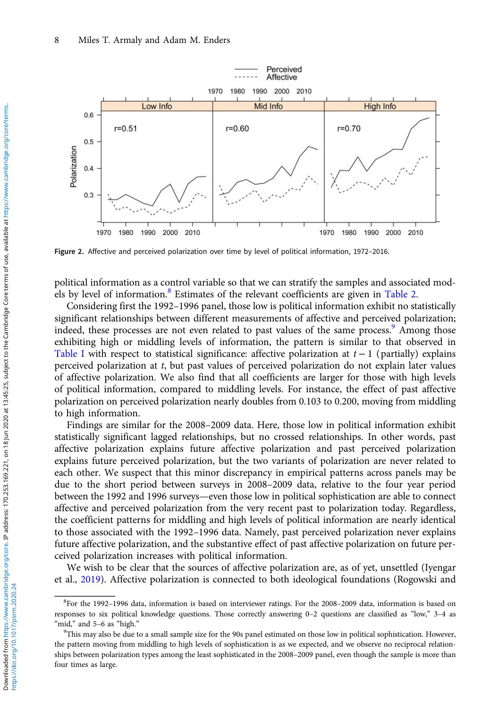<span id="page-7-0"></span>

Figure 2. Affective and perceived polarization over time by level of political information, 1972–2016.

political information as a control variable so that we can stratify the samples and associated mod-els by level of information.<sup>8</sup> Estimates of the relevant coefficients are given in [Table 2](#page-8-0).

Considering first the 1992–1996 panel, those low is political information exhibit no statistically significant relationships between different measurements of affective and perceived polarization; indeed, these processes are not even related to past values of the same process.<sup>9</sup> Among those exhibiting high or middling levels of information, the pattern is similar to that observed in [Table I](#page-6-0) with respect to statistical significance: affective polarization at  $t - 1$  (partially) explains perceived polarization at t, but past values of perceived polarization do not explain later values of affective polarization. We also find that all coefficients are larger for those with high levels of political information, compared to middling levels. For instance, the effect of past affective polarization on perceived polarization nearly doubles from 0.103 to 0.200, moving from middling to high information.

Findings are similar for the 2008–2009 data. Here, those low in political information exhibit statistically significant lagged relationships, but no crossed relationships. In other words, past affective polarization explains future affective polarization and past perceived polarization explains future perceived polarization, but the two variants of polarization are never related to each other. We suspect that this minor discrepancy in empirical patterns across panels may be due to the short period between surveys in 2008–2009 data, relative to the four year period between the 1992 and 1996 surveys—even those low in political sophistication are able to connect affective and perceived polarization from the very recent past to polarization today. Regardless, the coefficient patterns for middling and high levels of political information are nearly identical to those associated with the 1992–1996 data. Namely, past perceived polarization never explains future affective polarization, and the substantive effect of past affective polarization on future perceived polarization increases with political information.

We wish to be clear that the sources of affective polarization are, as of yet, unsettled (Iyengar et al., [2019](#page-10-0)). Affective polarization is connected to both ideological foundations (Rogowski and

<sup>8</sup> For the 1992–1996 data, information is based on interviewer ratings. For the 2008–2009 data, information is based on responses to six political knowledge questions. Those correctly answering 0–2 questions are classified as "low," 3–4 as "mid," and 5-6 as "high."

 $\rm{PThis}$  may also be due to a small sample size for the 90s panel estimated on those low in political sophistication. However, the pattern moving from middling to high levels of sophistication is as we expected, and we observe no reciprocal relationships between polarization types among the least sophisticated in the 2008–2009 panel, even though the sample is more than four times as large.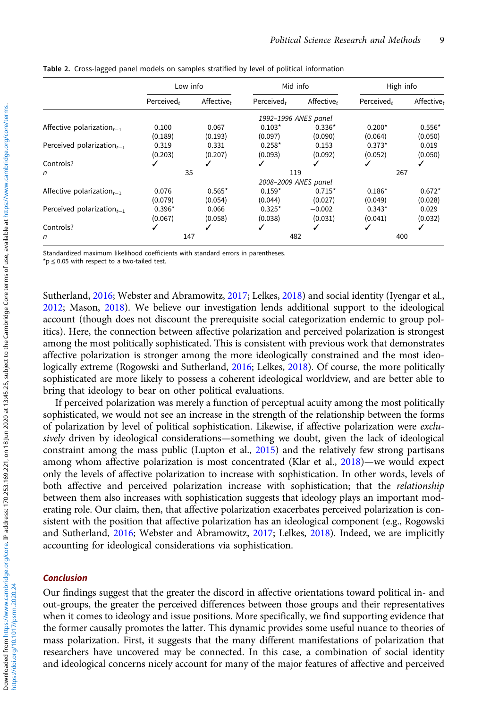|                                 | Low info   |                      | Mid info   |            | High info  |            |  |  |  |
|---------------------------------|------------|----------------------|------------|------------|------------|------------|--|--|--|
|                                 | Perceived, | Affective,           | Perceived, | Affective, | Perceived, | Affective, |  |  |  |
|                                 |            | 1992-1996 ANES panel |            |            |            |            |  |  |  |
| Affective polarization $_{t-1}$ | 0.100      | 0.067                | $0.103*$   | $0.336*$   | $0.200*$   | $0.556*$   |  |  |  |
|                                 | (0.189)    | (0.193)              | (0.097)    | (0.090)    | (0.064)    | (0.050)    |  |  |  |
| Perceived polarization $_{t-1}$ | 0.319      | 0.331                | $0.258*$   | 0.153      | $0.373*$   | 0.019      |  |  |  |
|                                 | (0.203)    | (0.207)              | (0.093)    | (0.092)    | (0.052)    | (0.050)    |  |  |  |
| Controls?                       |            |                      |            |            | ✓          | ✔          |  |  |  |
| n                               | 35         |                      | 119        |            | 267        |            |  |  |  |
|                                 |            | 2008-2009 ANES panel |            |            |            |            |  |  |  |
| Affective polarization $_{t-1}$ | 0.076      | $0.565*$             | $0.159*$   | $0.715*$   | $0.186*$   | $0.672*$   |  |  |  |
|                                 | (0.079)    | (0.054)              | (0.044)    | (0.027)    | (0.049)    | (0.028)    |  |  |  |
| Perceived polarization $_{t-1}$ | $0.396*$   | 0.066                | $0.325*$   | $-0.002$   | $0.343*$   | 0.029      |  |  |  |
|                                 | (0.067)    | (0.058)              | (0.038)    | (0.031)    | (0.041)    | (0.032)    |  |  |  |
| Controls?                       |            |                      |            |            | √          |            |  |  |  |
| n                               | 147        |                      | 482        |            | 400        |            |  |  |  |

<span id="page-8-0"></span>Table 2. Cross-lagged panel models on samples stratified by level of political information

Standardized maximum likelihood coefficients with standard errors in parentheses.

\*p ≤ 0.05 with respect to a two-tailed test.

Sutherland, [2016;](#page-11-0) Webster and Abramowitz, [2017;](#page-11-0) Lelkes, [2018\)](#page-10-0) and social identity (Iyengar et al., [2012](#page-10-0); Mason, [2018](#page-11-0)). We believe our investigation lends additional support to the ideological account (though does not discount the prerequisite social categorization endemic to group politics). Here, the connection between affective polarization and perceived polarization is strongest among the most politically sophisticated. This is consistent with previous work that demonstrates affective polarization is stronger among the more ideologically constrained and the most ideologically extreme (Rogowski and Sutherland, [2016;](#page-11-0) Lelkes, [2018](#page-10-0)). Of course, the more politically sophisticated are more likely to possess a coherent ideological worldview, and are better able to bring that ideology to bear on other political evaluations.

If perceived polarization was merely a function of perceptual acuity among the most politically sophisticated, we would not see an increase in the strength of the relationship between the forms of polarization by level of political sophistication. Likewise, if affective polarization were exclusively driven by ideological considerations—something we doubt, given the lack of ideological constraint among the mass public (Lupton et al., [2015](#page-10-0)) and the relatively few strong partisans among whom affective polarization is most concentrated (Klar et al., [2018\)](#page-10-0)—we would expect only the levels of affective polarization to increase with sophistication. In other words, levels of both affective and perceived polarization increase with sophistication; that the relationship between them also increases with sophistication suggests that ideology plays an important moderating role. Our claim, then, that affective polarization exacerbates perceived polarization is consistent with the position that affective polarization has an ideological component (e.g., Rogowski and Sutherland, [2016;](#page-11-0) Webster and Abramowitz, [2017;](#page-11-0) Lelkes, [2018](#page-10-0)). Indeed, we are implicitly accounting for ideological considerations via sophistication.

#### Conclusion

Our findings suggest that the greater the discord in affective orientations toward political in- and out-groups, the greater the perceived differences between those groups and their representatives when it comes to ideology and issue positions. More specifically, we find supporting evidence that the former causally promotes the latter. This dynamic provides some useful nuance to theories of mass polarization. First, it suggests that the many different manifestations of polarization that researchers have uncovered may be connected. In this case, a combination of social identity and ideological concerns nicely account for many of the major features of affective and perceived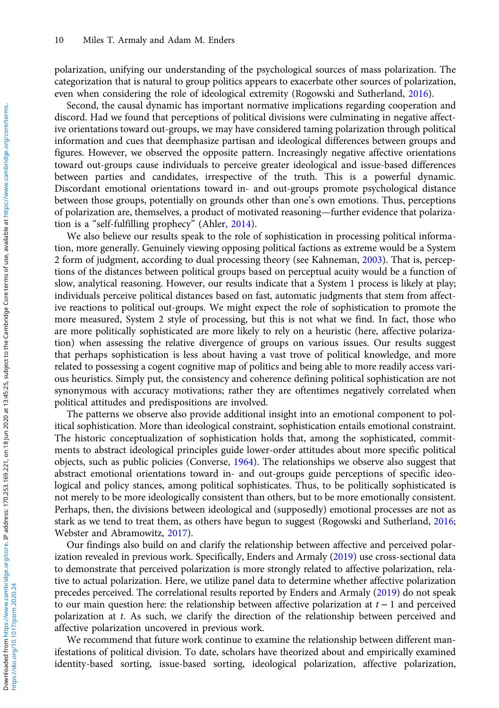polarization, unifying our understanding of the psychological sources of mass polarization. The categorization that is natural to group politics appears to exacerbate other sources of polarization, even when considering the role of ideological extremity (Rogowski and Sutherland, [2016](#page-11-0)).

Second, the causal dynamic has important normative implications regarding cooperation and discord. Had we found that perceptions of political divisions were culminating in negative affective orientations toward out-groups, we may have considered taming polarization through political information and cues that deemphasize partisan and ideological differences between groups and figures. However, we observed the opposite pattern. Increasingly negative affective orientations toward out-groups cause individuals to perceive greater ideological and issue-based differences between parties and candidates, irrespective of the truth. This is a powerful dynamic. Discordant emotional orientations toward in- and out-groups promote psychological distance between those groups, potentially on grounds other than one's own emotions. Thus, perceptions of polarization are, themselves, a product of motivated reasoning—further evidence that polarization is a "self-fulfilling prophecy" (Ahler, [2014](#page-10-0)).

We also believe our results speak to the role of sophistication in processing political information, more generally. Genuinely viewing opposing political factions as extreme would be a System 2 form of judgment, according to dual processing theory (see Kahneman, [2003\)](#page-10-0). That is, perceptions of the distances between political groups based on perceptual acuity would be a function of slow, analytical reasoning. However, our results indicate that a System 1 process is likely at play; individuals perceive political distances based on fast, automatic judgments that stem from affective reactions to political out-groups. We might expect the role of sophistication to promote the more measured, System 2 style of processing, but this is not what we find. In fact, those who are more politically sophisticated are more likely to rely on a heuristic (here, affective polarization) when assessing the relative divergence of groups on various issues. Our results suggest that perhaps sophistication is less about having a vast trove of political knowledge, and more related to possessing a cogent cognitive map of politics and being able to more readily access various heuristics. Simply put, the consistency and coherence defining political sophistication are not synonymous with accuracy motivations; rather they are oftentimes negatively correlated when political attitudes and predispositions are involved.

The patterns we observe also provide additional insight into an emotional component to political sophistication. More than ideological constraint, sophistication entails emotional constraint. The historic conceptualization of sophistication holds that, among the sophisticated, commitments to abstract ideological principles guide lower-order attitudes about more specific political objects, such as public policies (Converse, [1964\)](#page-10-0). The relationships we observe also suggest that abstract emotional orientations toward in- and out-groups guide perceptions of specific ideological and policy stances, among political sophisticates. Thus, to be politically sophisticated is not merely to be more ideologically consistent than others, but to be more emotionally consistent. Perhaps, then, the divisions between ideological and (supposedly) emotional processes are not as stark as we tend to treat them, as others have begun to suggest (Rogowski and Sutherland, [2016](#page-11-0); Webster and Abramowitz, [2017](#page-11-0)).

Our findings also build on and clarify the relationship between affective and perceived polarization revealed in previous work. Specifically, Enders and Armaly [\(2019](#page-10-0)) use cross-sectional data to demonstrate that perceived polarization is more strongly related to affective polarization, relative to actual polarization. Here, we utilize panel data to determine whether affective polarization precedes perceived. The correlational results reported by Enders and Armaly [\(2019](#page-10-0)) do not speak to our main question here: the relationship between affective polarization at  $t - 1$  and perceived polarization at t. As such, we clarify the direction of the relationship between perceived and affective polarization uncovered in previous work.

We recommend that future work continue to examine the relationship between different manifestations of political division. To date, scholars have theorized about and empirically examined identity-based sorting, issue-based sorting, ideological polarization, affective polarization,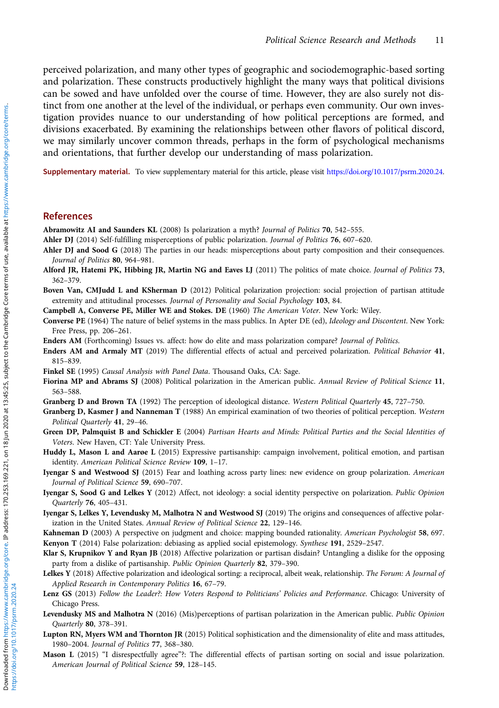<span id="page-10-0"></span>perceived polarization, and many other types of geographic and sociodemographic-based sorting and polarization. These constructs productively highlight the many ways that political divisions can be sowed and have unfolded over the course of time. However, they are also surely not distinct from one another at the level of the individual, or perhaps even community. Our own investigation provides nuance to our understanding of how political perceptions are formed, and divisions exacerbated. By examining the relationships between other flavors of political discord, we may similarly uncover common threads, perhaps in the form of psychological mechanisms and orientations, that further develop our understanding of mass polarization.

Supplementary material. To view supplementary material for this article, please visit [https://doi.org/10.1017/psrm.2020.24.](https://doi.org/10.1017/psrm.2020.24)

## References

Abramowitz AI and Saunders KL (2008) Is polarization a myth? Journal of Politics 70, 542–555.

Ahler DJ (2014) Self-fulfilling misperceptions of public polarization. Journal of Politics 76, 607-620.

- Ahler DJ and Sood G (2018) The parties in our heads: misperceptions about party composition and their consequences. Journal of Politics 80, 964–981.
- Alford JR, Hatemi PK, Hibbing JR, Martin NG and Eaves LJ (2011) The politics of mate choice. Journal of Politics 73, 362–379.

Boven Van, CMJudd L and KSherman D (2012) Political polarization projection: social projection of partisan attitude extremity and attitudinal processes. Journal of Personality and Social Psychology 103, 84.

Campbell A, Converse PE, Miller WE and Stokes. DE (1960) The American Voter. New York: Wiley.

Converse PE (1964) The nature of belief systems in the mass publics. In Apter DE (ed), Ideology and Discontent. New York: Free Press, pp. 206–261.

Enders AM (Forthcoming) Issues vs. affect: how do elite and mass polarization compare? Journal of Politics.

Enders AM and Armaly MT (2019) The differential effects of actual and perceived polarization. Political Behavior 41, 815–839.

Finkel SE (1995) Causal Analysis with Panel Data. Thousand Oaks, CA: Sage.

Fiorina MP and Abrams SJ (2008) Political polarization in the American public. Annual Review of Political Science 11, 563–588.

Granberg D and Brown TA (1992) The perception of ideological distance. Western Political Quarterly 45, 727-750.

- Granberg D, Kasmer J and Nanneman T (1988) An empirical examination of two theories of political perception. Western Political Quarterly 41, 29–46.
- Green DP, Palmquist B and Schickler E (2004) Partisan Hearts and Minds: Political Parties and the Social Identities of Voters. New Haven, CT: Yale University Press.
- Huddy L, Mason L and Aarøe L (2015) Expressive partisanship: campaign involvement, political emotion, and partisan identity. American Political Science Review 109, 1–17.
- Iyengar S and Westwood SJ (2015) Fear and loathing across party lines: new evidence on group polarization. American Journal of Political Science 59, 690–707.
- Iyengar S, Sood G and Lelkes Y (2012) Affect, not ideology: a social identity perspective on polarization. Public Opinion Quarterly 76, 405–431.
- Iyengar S, Lelkes Y, Levendusky M, Malhotra N and Westwood SJ (2019) The origins and consequences of affective polarization in the United States. Annual Review of Political Science 22, 129–146.

Kahneman D (2003) A perspective on judgment and choice: mapping bounded rationality. American Psychologist 58, 697.

Kenyon T (2014) False polarization: debiasing as applied social epistemology. Synthese 191, 2529–2547.

- Klar S, Krupnikov Y and Ryan JB (2018) Affective polarization or partisan disdain? Untangling a dislike for the opposing party from a dislike of partisanship. Public Opinion Quarterly 82, 379–390.
- Lelkes Y (2018) Affective polarization and ideological sorting: a reciprocal, albeit weak, relationship. The Forum: A Journal of Applied Research in Contemporary Politics 16, 67–79.
- Lenz GS (2013) Follow the Leader?: How Voters Respond to Politicians' Policies and Performance. Chicago: University of Chicago Press.
- Levendusky MS and Malhotra N (2016) (Mis)perceptions of partisan polarization in the American public. Public Opinion Quarterly 80, 378–391.
- Lupton RN, Myers WM and Thornton JR (2015) Political sophistication and the dimensionality of elite and mass attitudes, 1980–2004. Journal of Politics 77, 368–380.
- Mason L (2015) "I disrespectfully agree"?: The differential effects of partisan sorting on social and issue polarization. American Journal of Political Science 59, 128–145.